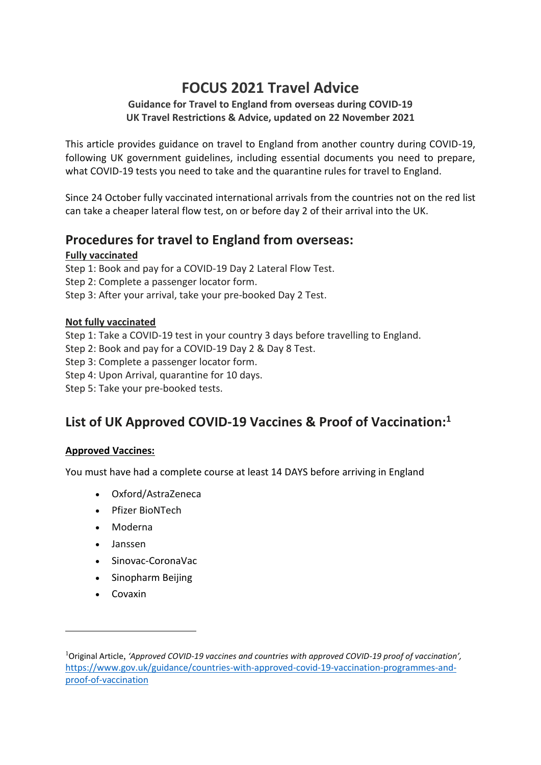# **FOCUS 2021 Travel Advice**

### **Guidance for Travel to England from overseas during COVID-19 UK Travel Restrictions & Advice, updated on 22 November 2021**

This article provides guidance on travel to England from another country during COVID-19, following UK government guidelines, including essential documents you need to prepare, what COVID-19 tests you need to take and the quarantine rules for travel to England.

Since 24 October fully vaccinated international arrivals from the countries not on the red list can take a cheaper lateral flow test, on or before day 2 of their arrival into the UK.

# **Procedures for travel to England from overseas:**

### **Fully vaccinated**

Step 1: Book and pay for a COVID-19 Day 2 Lateral Flow Test. Step 2: Complete a passenger locator form. Step 3: After your arrival, take your pre-booked Day 2 Test.

### **Not fully vaccinated**

Step 1: Take a COVID-19 test in your country 3 days before travelling to England.

Step 2: Book and pay for a COVID-19 Day 2 & Day 8 Test.

Step 3: Complete a passenger locator form.

Step 4: Upon Arrival, quarantine for 10 days.

Step 5: Take your pre-booked tests.

# **List of UK Approved COVID-19 Vaccines & Proof of Vaccination: 1**

#### **Approved Vaccines:**

You must have had a complete course at least 14 DAYS before arriving in England

- Oxford/AstraZeneca
- Pfizer BioNTech
- Moderna
- Janssen
- Sinovac-CoronaVac
- Sinopharm Beijing
- Covaxin

<sup>1</sup>Original Article, *'Approved COVID-19 vaccines and countries with approved COVID-19 proof of vaccination',* [https://www.gov.uk/guidance/countries-with-approved-covid-19-vaccination-programmes-and](https://www.gov.uk/guidance/countries-with-approved-covid-19-vaccination-programmes-and-proof-of-vaccination)[proof-of-vaccination](https://www.gov.uk/guidance/countries-with-approved-covid-19-vaccination-programmes-and-proof-of-vaccination)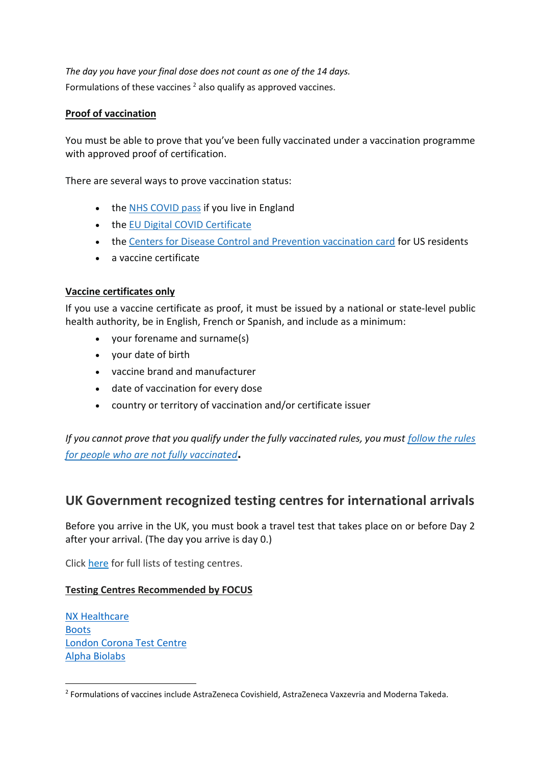*The day you have your final dose does not count as one of the 14 days.* Formulations of these vaccines  $2$  also qualify as approved vaccines.

#### **Proof of vaccination**

You must be able to prove that you've been fully vaccinated under a vaccination programme with approved proof of certification.

There are several ways to prove vaccination status:

- the NHS [COVID pass](https://www.gov.uk/guidance/nhs-covid-pass) if you live in England
- the EU [Digital COVID Certificate](https://ec.europa.eu/info/live-work-travel-eu/coronavirus-response/safe-covid-19-vaccines-europeans/eu-digital-covid-certificate_en)
- the [Centers for Disease Control and Prevention vaccination card](https://www.cdc.gov/coronavirus/2019-ncov/vaccines/expect.html) for US residents
- a vaccine certificate

#### **Vaccine certificates only**

If you use a vaccine certificate as proof, it must be issued by a national or state-level public health authority, be in English, French or Spanish, and include as a minimum:

- your forename and surname(s)
- your date of birth
- vaccine brand and manufacturer
- date of vaccination for every dose
- country or territory of vaccination and/or certificate issuer

*If you cannot prove that you qualify under the fully vaccinated rules, you must [follow the rules](https://www.gov.uk/guidance/travel-to-england-from-another-country-during-coronavirus-covid-19#if-you-are-not-fully-vaccinated)  [for people who are not fully vaccinated](https://www.gov.uk/guidance/travel-to-england-from-another-country-during-coronavirus-covid-19#if-you-are-not-fully-vaccinated)***.** 

## **UK Government recognized testing centres for international arrivals**

Before you arrive in the UK, you must book a travel test that takes place on or before Day 2 after your arrival. (The day you arrive is day 0.)

Click [here](https://www.gov.uk/guidance/providers-of-day-2-and-day-8-coronavirus-testing-for-international-arrivals) for full lists of testing centres.

#### **Testing Centres Recommended by FOCUS**

NX [Healthcare](https://www.nxhealthcare.co.uk/) [Boots](https://www.boots.com/covid-19-testing) [London](https://www.londoncoronatestcentre.com/) Corona Test Centre Alpha [Biolabs](https://www.alphabiolabs.co.uk/public-testing-services/covid-19-testing-for-international-travel/)

<sup>&</sup>lt;sup>2</sup> Formulations of vaccines include AstraZeneca Covishield, AstraZeneca Vaxzevria and Moderna Takeda.